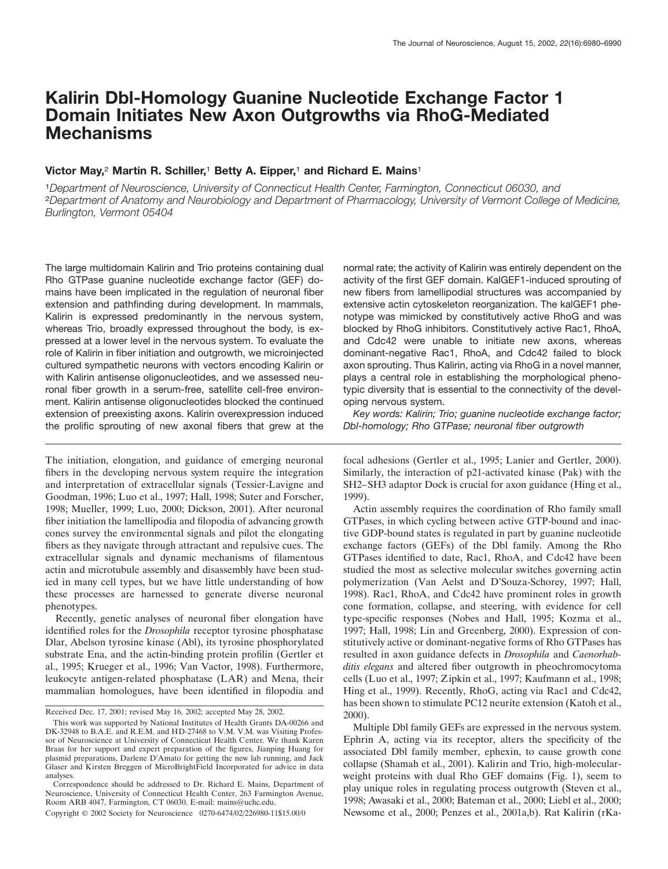# **Kalirin Dbl-Homology Guanine Nucleotide Exchange Factor 1 Domain Initiates New Axon Outgrowths via RhoG-Mediated Mechanisms**

# **Victor May,**<sup>2</sup> **Martin R. Schiller,**<sup>1</sup> **Betty A. Eipper,**<sup>1</sup> **and Richard E. Mains**<sup>1</sup>

<sup>1</sup>*Department of Neuroscience, University of Connecticut Health Center, Farmington, Connecticut 06030, and* <sup>2</sup>*Department of Anatomy and Neurobiology and Department of Pharmacology, University of Vermont College of Medicine, Burlington, Vermont 05404*

The large multidomain Kalirin and Trio proteins containing dual Rho GTPase guanine nucleotide exchange factor (GEF) domains have been implicated in the regulation of neuronal fiber extension and pathfinding during development. In mammals, Kalirin is expressed predominantly in the nervous system, whereas Trio, broadly expressed throughout the body, is expressed at a lower level in the nervous system. To evaluate the role of Kalirin in fiber initiation and outgrowth, we microinjected cultured sympathetic neurons with vectors encoding Kalirin or with Kalirin antisense oligonucleotides, and we assessed neuronal fiber growth in a serum-free, satellite cell-free environment. Kalirin antisense oligonucleotides blocked the continued extension of preexisting axons. Kalirin overexpression induced the prolific sprouting of new axonal fibers that grew at the

The initiation, elongation, and guidance of emerging neuronal fibers in the developing nervous system require the integration and interpretation of extracellular signals (Tessier-Lavigne and Goodman, 1996; Luo et al., 1997; Hall, 1998; Suter and Forscher, 1998; Mueller, 1999; Luo, 2000; Dickson, 2001). After neuronal fiber initiation the lamellipodia and filopodia of advancing growth cones survey the environmental signals and pilot the elongating fibers as they navigate through attractant and repulsive cues. The extracellular signals and dynamic mechanisms of filamentous actin and microtubule assembly and disassembly have been studied in many cell types, but we have little understanding of how these processes are harnessed to generate diverse neuronal phenotypes.

Recently, genetic analyses of neuronal fiber elongation have identified roles for the *Drosophila* receptor tyrosine phosphatase Dlar, Abelson tyrosine kinase (Abl), its tyrosine phosphorylated substrate Ena, and the actin-binding protein profilin (Gertler et al., 1995; Krueger et al., 1996; Van Vactor, 1998). Furthermore, leukocyte antigen-related phosphatase (LAR) and Mena, their mammalian homologues, have been identified in filopodia and normal rate; the activity of Kalirin was entirely dependent on the activity of the first GEF domain. KalGEF1-induced sprouting of new fibers from lamellipodial structures was accompanied by extensive actin cytoskeleton reorganization. The kalGEF1 phenotype was mimicked by constitutively active RhoG and was blocked by RhoG inhibitors. Constitutively active Rac1, RhoA, and Cdc42 were unable to initiate new axons, whereas dominant-negative Rac1, RhoA, and Cdc42 failed to block axon sprouting. Thus Kalirin, acting via RhoG in a novel manner, plays a central role in establishing the morphological phenotypic diversity that is essential to the connectivity of the developing nervous system.

*Key words: Kalirin; Trio; guanine nucleotide exchange factor; Dbl-homology; Rho GTPase; neuronal fiber outgrowth*

focal adhesions (Gertler et al., 1995; Lanier and Gertler, 2000). Similarly, the interaction of p21-activated kinase (Pak) with the SH2–SH3 adaptor Dock is crucial for axon guidance (Hing et al., 1999).

Actin assembly requires the coordination of Rho family small GTPases, in which cycling between active GTP-bound and inactive GDP-bound states is regulated in part by guanine nucleotide exchange factors (GEFs) of the Dbl family. Among the Rho GTPases identified to date, Rac1, RhoA, and Cdc42 have been studied the most as selective molecular switches governing actin polymerization (Van Aelst and D'Souza-Schorey, 1997; Hall, 1998). Rac1, RhoA, and Cdc42 have prominent roles in growth cone formation, collapse, and steering, with evidence for cell type-specific responses (Nobes and Hall, 1995; Kozma et al., 1997; Hall, 1998; Lin and Greenberg, 2000). Expression of constitutively active or dominant-negative forms of Rho GTPases has resulted in axon guidance defects in *Drosophila* and *Caenorhabditis elegans* and altered fiber outgrowth in pheochromocytoma cells (Luo et al., 1997; Zipkin et al., 1997; Kaufmann et al., 1998; Hing et al., 1999). Recently, RhoG, acting via Rac1 and Cdc42, has been shown to stimulate PC12 neurite extension (Katoh et al., 2000).

Multiple Dbl family GEFs are expressed in the nervous system. Ephrin A, acting via its receptor, alters the specificity of the associated Dbl family member, ephexin, to cause growth cone collapse (Shamah et al., 2001). Kalirin and Trio, high-molecularweight proteins with dual Rho GEF domains (Fig. 1), seem to play unique roles in regulating process outgrowth (Steven et al., 1998; Awasaki et al., 2000; Bateman et al., 2000; Liebl et al., 2000; Newsome et al., 2000; Penzes et al., 2001a,b). Rat Kalirin (rKa-

Received Dec. 17, 2001; revised May 16, 2002; accepted May 28, 2002.

This work was supported by National Institutes of Health Grants DA-00266 and DK-32948 to B.A.E. and R.E.M. and HD-27468 to V.M. V.M. was Visiting Professor of Neuroscience at University of Connecticut Health Center. We thank Karen Braas for her support and expert preparation of the figures, Jianping Huang for plasmid preparations, Darlene D'Amato for getting the new lab running, and Jack Glaser and Kirsten Breggen of MicroBrightField Incorporated for advice in data analyses.

Correspondence should be addressed to Dr. Richard E. Mains, Department of Neuroscience, University of Connecticut Health Center, 263 Farmington Avenue, Room ARB 4047, Farmington, CT 06030. E-mail: mains@uchc.edu.

Copyright © 2002 Society for Neuroscience 0270-6474/02/226980-11\$15.00/0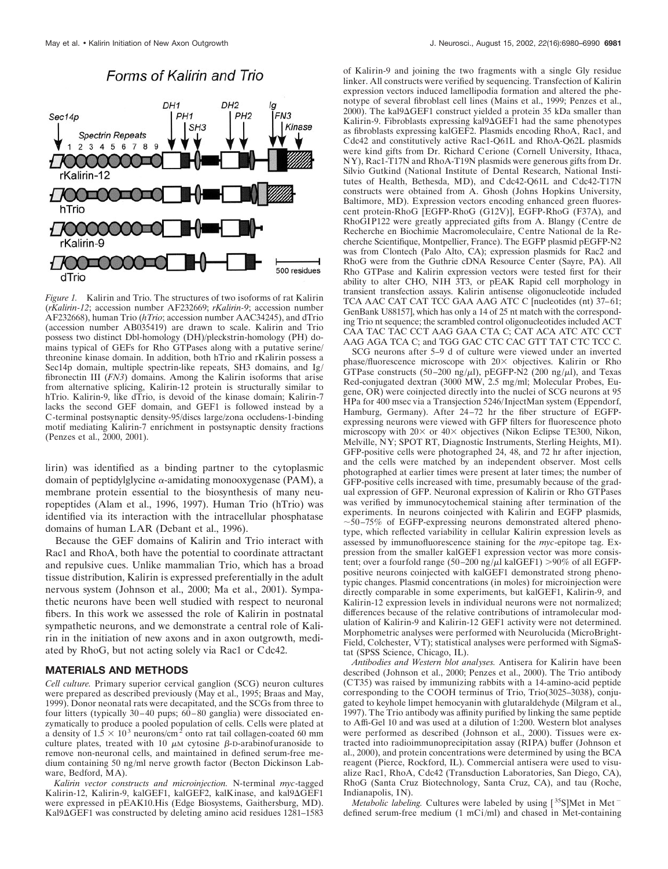

# Forms of Kalirin and Trio

*Figure 1.* Kalirin and Trio. The structures of two isoforms of rat Kalirin (*rKalirin-12*; accession number AF232669; *rKalirin-9*; accession number AF232668), human Trio (*hTrio*; accession number AAC34245), and dTrio (accession number AB035419) are drawn to scale. Kalirin and Trio possess two distinct Dbl-homology (DH)/pleckstrin-homology (PH) domains typical of GEFs for Rho GTPases along with a putative serine/ threonine kinase domain. In addition, both hTrio and rKalirin possess a Sec14p domain, multiple spectrin-like repeats, SH3 domains, and Ig/ fibronectin III (*FN3*) domains. Among the Kalirin isoforms that arise from alternative splicing, Kalirin-12 protein is structurally similar to hTrio. Kalirin-9, like dTrio, is devoid of the kinase domain; Kalirin-7 lacks the second GEF domain, and GEF1 is followed instead by a C-terminal postsynaptic density-95/discs large/zona occludens-1-binding motif mediating Kalirin-7 enrichment in postsynaptic density fractions (Penzes et al., 2000, 2001).

lirin) was identified as a binding partner to the cytoplasmic domain of peptidylglycine  $\alpha$ -amidating monooxygenase (PAM), a membrane protein essential to the biosynthesis of many neuropeptides (Alam et al., 1996, 1997). Human Trio (hTrio) was identified via its interaction with the intracellular phosphatase domains of human LAR (Debant et al., 1996).

Because the GEF domains of Kalirin and Trio interact with Rac1 and RhoA, both have the potential to coordinate attractant and repulsive cues. Unlike mammalian Trio, which has a broad tissue distribution, Kalirin is expressed preferentially in the adult nervous system (Johnson et al., 2000; Ma et al., 2001). Sympathetic neurons have been well studied with respect to neuronal fibers. In this work we assessed the role of Kalirin in postnatal sympathetic neurons, and we demonstrate a central role of Kalirin in the initiation of new axons and in axon outgrowth, mediated by RhoG, but not acting solely via Rac1 or Cdc42.

# **MATERIALS AND METHODS**

*Cell culture.* Primary superior cervical ganglion (SCG) neuron cultures were prepared as described previously (May et al., 1995; Braas and May, 1999). Donor neonatal rats were decapitated, and the SCGs from three to four litters (typically 30–40 pups; 60–80 ganglia) were dissociated enzymatically to produce a pooled population of cells. Cells were plated at a density of  $1.5 \times 10^3$  neurons/cm<sup>2</sup> onto rat tail collagen-coated 60 mm culture plates, treated with 10  $\mu$ M cytosine  $\beta$ -D-arabinofuranoside to remove non-neuronal cells, and maintained in defined serum-free medium containing 50 ng/ml nerve growth factor (Becton Dickinson Labware, Bedford, MA).

*Kalirin vector constructs and microinjection.* N-terminal *myc*-tagged Kalirin-12, Kalirin-9, kalGEF1, kalGEF2, kalKinase, and kal9 $\Delta$ GEF1 were expressed in pEAK10.His (Edge Biosystems, Gaithersburg, MD). Kal9 $\Delta$ GEF1 was constructed by deleting amino acid residues 1281–1583

of Kalirin-9 and joining the two fragments with a single Gly residue linker. All constructs were verified by sequencing. Transfection of Kalirin expression vectors induced lamellipodia formation and altered the phenotype of several fibroblast cell lines (Mains et al., 1999; Penzes et al., 2000). The kal $9\Delta$ GEF1 construct yielded a protein 35 kDa smaller than Kalirin-9. Fibroblasts expressing kal9 $\Delta$ GEF1 had the same phenotypes as fibroblasts expressing kalGEF2. Plasmids encoding RhoA, Rac1, and Cdc42 and constitutively active Rac1-Q61L and RhoA-Q62L plasmids were kind gifts from Dr. Richard Cerione (Cornell University, Ithaca, NY), Rac1-T17N and RhoA-T19N plasmids were generous gifts from Dr. Silvio Gutkind (National Institute of Dental Research, National Institutes of Health, Bethesda, MD), and Cdc42-Q61L and Cdc42-T17N constructs were obtained from A. Ghosh (Johns Hopkins University, Baltimore, MD). Expression vectors encoding enhanced green fluorescent protein-RhoG [EGFP-RhoG (G12V)], EGFP-RhoG (F37A), and RhoGIP122 were greatly appreciated gifts from A. Blangy (Centre de Recherche en Biochimie Macromoleculaire, Centre National de la Recherche Scientifique, Montpellier, France). The EGFP plasmid pEGFP-N2 was from Clontech (Palo Alto, CA); expression plasmids for Rac2 and RhoG were from the Guthrie cDNA Resource Center (Sayre, PA). All Rho GTPase and Kalirin expression vectors were tested first for their ability to alter CHO, NIH 3T3, or pEAK Rapid cell morphology in transient transfection assays. Kalirin antisense oligonucleotide included TCA AAC CAT CAT TCC GAA AAG ATC C [nucleotides (nt) 37-61; GenBank U88157], which has only a 14 of 25 nt match with the corresponding Trio nt sequence; the scrambled control oligonucleotides included ACT CAA TAC TAC CCT AAG GAA CTA C; CAT ACA ATC ATC CCT AAG AGA TCA C; and TGG GAC CTC CAC GTT TAT CTC TCC C.

SCG neurons after 5–9 d of culture were viewed under an inverted phase/fluorescence microscope with  $20 \times$  objectives. Kalirin or Rho GTPase constructs (50–200 ng/ $\mu$ l), pEGFP-N2 (200 ng/ $\mu$ l), and Texas Red-conjugated dextran (3000 MW, 2.5 mg/ml; Molecular Probes, Eugene, OR) were coinjected directly into the nuclei of SCG neurons at 95 HPa for 400 msec via a Transjection 5246/InjectMan system (Eppendorf, Hamburg, Germany). After 24–72 hr the fiber structure of EGFPexpressing neurons were viewed with GFP filters for fluorescence photo microscopy with  $20 \times$  or  $40 \times$  objectives (Nikon Eclipse TE300, Nikon, Melville, NY; SPOT RT, Diagnostic Instruments, Sterling Heights, MI). GFP-positive cells were photographed 24, 48, and 72 hr after injection, and the cells were matched by an independent observer. Most cells photographed at earlier times were present at later times; the number of GFP-positive cells increased with time, presumably because of the gradual expression of GFP. Neuronal expression of Kalirin or Rho GTPases was verified by immunocytochemical staining after termination of the experiments. In neurons coinjected with Kalirin and EGFP plasmids, 50–75% of EGFP-expressing neurons demonstrated altered phenotype, which reflected variability in cellular Kalirin expression levels as assessed by immunofluorescence staining for the *myc*-epitope tag. Expression from the smaller kalGEF1 expression vector was more consistent; over a fourfold range (50–200 ng/ $\mu$ l kalGEF1) >90% of all EGFPpositive neurons coinjected with kalGEF1 demonstrated strong phenotypic changes. Plasmid concentrations (in moles) for microinjection were directly comparable in some experiments, but kalGEF1, Kalirin-9, and Kalirin-12 expression levels in individual neurons were not normalized; differences because of the relative contributions of intramolecular modulation of Kalirin-9 and Kalirin-12 GEF1 activity were not determined. Morphometric analyses were performed with Neurolucida (MicroBright-Field, Colchester, VT); statistical analyses were performed with SigmaStat (SPSS Science, Chicago, IL).

*Antibodies and Western blot analyses.* Antisera for Kalirin have been described (Johnson et al., 2000; Penzes et al., 2000). The Trio antibody (CT35) was raised by immunizing rabbits with a 14-amino-acid peptide corresponding to the COOH terminus of Trio, Trio(3025–3038), conjugated to keyhole limpet hemocyanin with glutaraldehyde (Milgram et al., 1997). The Trio antibody was affinity purified by linking the same peptide to Affi-Gel 10 and was used at a dilution of 1:200. Western blot analyses were performed as described (Johnson et al., 2000). Tissues were extracted into radioimmunoprecipitation assay (RIPA) buffer (Johnson et al., 2000), and protein concentrations were determined by using the BCA reagent (Pierce, Rockford, IL). Commercial antisera were used to visualize Rac1, RhoA, Cdc42 (Transduction Laboratories, San Diego, CA), RhoG (Santa Cruz Biotechnology, Santa Cruz, CA), and tau (Roche, Indianapolis, IN).

*Metabolic labeling.* Cultures were labeled by using  $[35S]$ Met in Met<sup>-</sup> defined serum-free medium (1 mCi/ml) and chased in Met-containing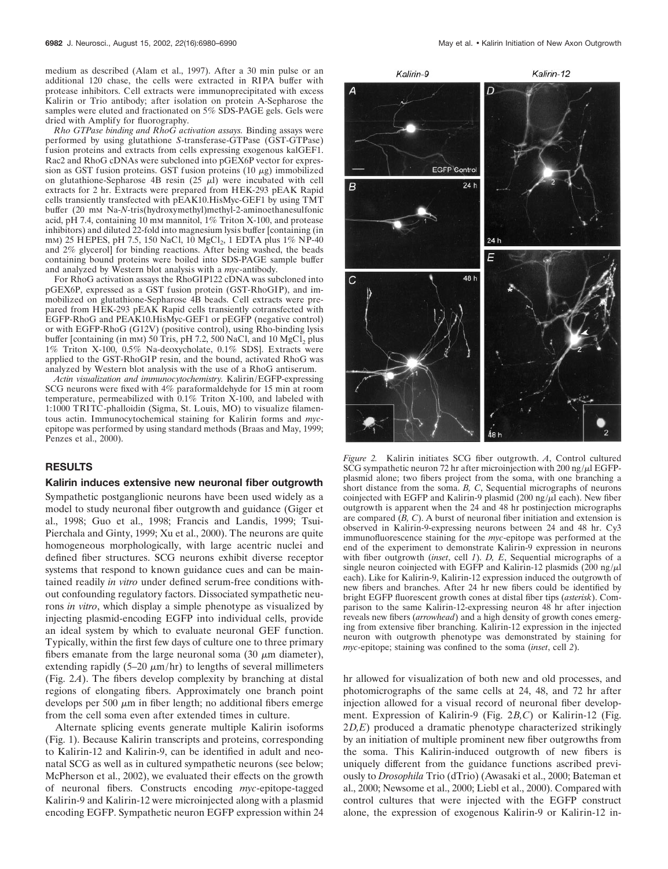medium as described (Alam et al., 1997). After a 30 min pulse or an additional 120 chase, the cells were extracted in RIPA buffer with protease inhibitors. Cell extracts were immunoprecipitated with excess Kalirin or Trio antibody; after isolation on protein A-Sepharose the samples were eluted and fractionated on 5% SDS-PAGE gels. Gels were dried with Amplify for fluorography.

*Rho GTPase binding and RhoG activation assays.* Binding assays were performed by using glutathione *S*-transferase-GTPase (GST-GTPase) fusion proteins and extracts from cells expressing exogenous kalGEF1. Rac2 and RhoG cDNAs were subcloned into pGEX6P vector for expression as GST fusion proteins. GST fusion proteins  $(10 \mu g)$  immobilized on glutathione-Sepharose 4B resin  $(25 \mu l)$  were incubated with cell extracts for 2 hr. Extracts were prepared from HEK-293 pEAK Rapid cells transiently transfected with pEAK10.HisMyc-GEF1 by using TMT buffer (20 mM Na-*N*-tris(hydroxymethyl)methyl-2-aminoethanesulfonic acid, pH 7.4, containing 10 mM mannitol,  $1\%$  Triton X-100, and protease inhibitors) and diluted 22-fold into magnesium lysis buffer [containing (in mm) 25 HEPES, pH 7.5, 150 NaCl, 10 MgCl<sub>2</sub>, 1 EDTA plus 1% NP-40 and 2% glycerol] for binding reactions. After being washed, the beads containing bound proteins were boiled into SDS-PAGE sample buffer and analyzed by Western blot analysis with a *myc*-antibody.

For RhoG activation assays the RhoGIP122 cDNA was subcloned into pGEX6P, expressed as a GST fusion protein (GST-RhoGIP), and immobilized on glutathione-Sepharose 4B beads. Cell extracts were prepared from HEK-293 pEAK Rapid cells transiently cotransfected with EGFP-RhoG and PEAK10.HisMyc-GEF1 or pEGFP (negative control) or with EGFP-RhoG (G12V) (positive control), using Rho-binding lysis buffer [containing (in mm) 50 Tris, pH 7.2, 500 NaCl, and 10  $MgCl<sub>2</sub>$  plus 1% Triton X-100, 0.5% Na-deoxycholate, 0.1% SDS]. Extracts were applied to the GST-RhoGIP resin, and the bound, activated RhoG was analyzed by Western blot analysis with the use of a RhoG antiserum.

*Actin visualization and immunocytochemistry.* Kalirin/EGFP-expressing SCG neurons were fixed with 4% paraformaldehyde for 15 min at room temperature, permeabilized with 0.1% Triton X-100, and labeled with 1:1000 TRITC-phalloidin (Sigma, St. Louis, MO) to visualize filamentous actin. Immunocytochemical staining for Kalirin forms and *myc*epitope was performed by using standard methods (Braas and May, 1999; Penzes et al., 2000).

#### **RESULTS**

#### **Kalirin induces extensive new neuronal fiber outgrowth**

Sympathetic postganglionic neurons have been used widely as a model to study neuronal fiber outgrowth and guidance (Giger et al., 1998; Guo et al., 1998; Francis and Landis, 1999; Tsui-Pierchala and Ginty, 1999; Xu et al., 2000). The neurons are quite homogeneous morphologically, with large acentric nuclei and defined fiber structures. SCG neurons exhibit diverse receptor systems that respond to known guidance cues and can be maintained readily *in vitro* under defined serum-free conditions without confounding regulatory factors. Dissociated sympathetic neurons *in vitro*, which display a simple phenotype as visualized by injecting plasmid-encoding EGFP into individual cells, provide an ideal system by which to evaluate neuronal GEF function. Typically, within the first few days of culture one to three primary fibers emanate from the large neuronal soma  $(30 \mu m)$  diameter), extending rapidly  $(5-20 \mu m/hr)$  to lengths of several millimeters (Fig. 2*A*). The fibers develop complexity by branching at distal regions of elongating fibers. Approximately one branch point develops per 500  $\mu$ m in fiber length; no additional fibers emerge from the cell soma even after extended times in culture.

Alternate splicing events generate multiple Kalirin isoforms (Fig. 1). Because Kalirin transcripts and proteins, corresponding to Kalirin-12 and Kalirin-9, can be identified in adult and neonatal SCG as well as in cultured sympathetic neurons (see below; McPherson et al., 2002), we evaluated their effects on the growth of neuronal fibers. Constructs encoding *myc*-epitope-tagged Kalirin-9 and Kalirin-12 were microinjected along with a plasmid encoding EGFP. Sympathetic neuron EGFP expression within 24



*Figure 2.* Kalirin initiates SCG fiber outgrowth. *A*, Control cultured SCG sympathetic neuron 72 hr after microinjection with 200 ng/ $\mu$ l EGFPplasmid alone; two fibers project from the soma, with one branching a short distance from the soma. *B, C*, Sequential micrographs of neurons coinjected with EGFP and Kalirin-9 plasmid (200 ng/ $\mu$ l each). New fiber outgrowth is apparent when the 24 and 48 hr postinjection micrographs are compared (*B, C*). A burst of neuronal fiber initiation and extension is observed in Kalirin-9-expressing neurons between 24 and 48 hr. Cy3 immunofluorescence staining for the *myc*-epitope was performed at the end of the experiment to demonstrate Kalirin-9 expression in neurons with fiber outgrowth (*inset*, cell *1*). *D, E*, Sequential micrographs of a single neuron coinjected with EGFP and Kalirin-12 plasmids  $(200 \text{ ng}/\mu\text{l})$ each). Like for Kalirin-9, Kalirin-12 expression induced the outgrowth of new fibers and branches. After 24 hr new fibers could be identified by bright EGFP fluorescent growth cones at distal fiber tips (*asterisk*). Comparison to the same Kalirin-12-expressing neuron 48 hr after injection reveals new fibers (*arrowhead*) and a high density of growth cones emerging from extensive fiber branching. Kalirin-12 expression in the injected neuron with outgrowth phenotype was demonstrated by staining for *myc*-epitope; staining was confined to the soma (*inset*, cell *2*).

hr allowed for visualization of both new and old processes, and photomicrographs of the same cells at 24, 48, and 72 hr after injection allowed for a visual record of neuronal fiber development. Expression of Kalirin-9 (Fig. 2*B,C*) or Kalirin-12 (Fig. 2*D,E*) produced a dramatic phenotype characterized strikingly by an initiation of multiple prominent new fiber outgrowths from the soma. This Kalirin-induced outgrowth of new fibers is uniquely different from the guidance functions ascribed previously to *Drosophila* Trio (dTrio) (Awasaki et al., 2000; Bateman et al., 2000; Newsome et al., 2000; Liebl et al., 2000). Compared with control cultures that were injected with the EGFP construct alone, the expression of exogenous Kalirin-9 or Kalirin-12 in-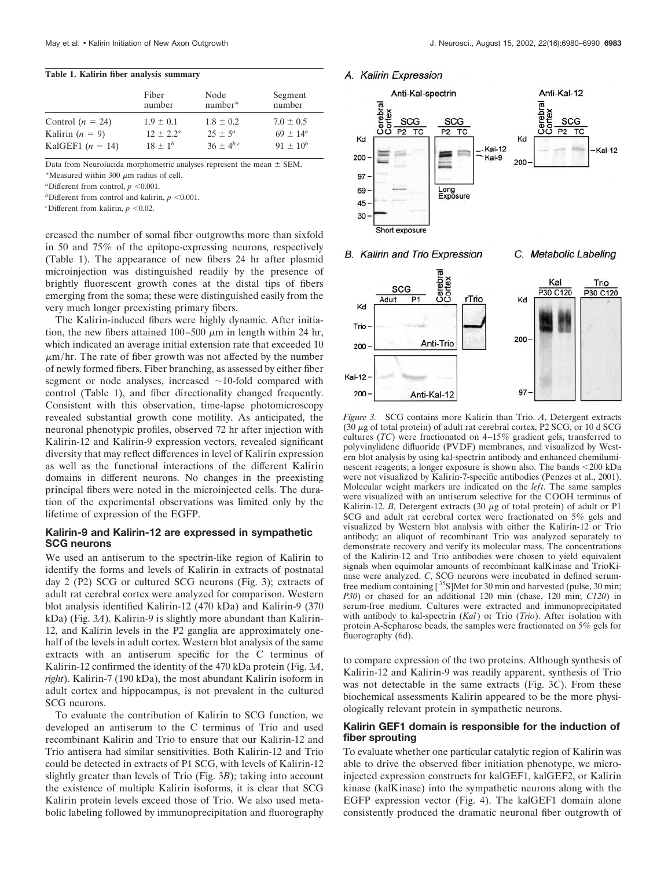#### **Table 1. Kalirin fiber analysis summary**

|                    | Fiber<br>number | Node<br>$number*$ | Segment<br>number   |
|--------------------|-----------------|-------------------|---------------------|
| Control $(n = 24)$ | $1.9 \pm 0.1$   | $1.8 \pm 0.2$     | $7.0 \pm 0.5$       |
| Kalirin $(n = 9)$  | $12 \pm 2.2^a$  | $25 \pm 5^a$      | $69 \pm 14^{\circ}$ |
| KalGEF1 $(n = 14)$ | $18 \pm 1^{b}$  | $36 + 4^{b,c}$    | $91 \pm 10^{b}$     |

Data from Neurolucida morphometric analyses represent the mean  $\pm$  SEM.

\*Measured within 300  $\mu$ m radius of cell.

*a* Different from control,  $p \le 0.001$ .

*b* Different from control and kalirin,  $p \le 0.001$ .

 $c$ Different from kalirin,  $p < 0.02$ .

creased the number of somal fiber outgrowths more than sixfold in 50 and 75% of the epitope-expressing neurons, respectively (Table 1). The appearance of new fibers 24 hr after plasmid microinjection was distinguished readily by the presence of brightly fluorescent growth cones at the distal tips of fibers emerging from the soma; these were distinguished easily from the very much longer preexisting primary fibers.

The Kalirin-induced fibers were highly dynamic. After initiation, the new fibers attained  $100-500 \mu m$  in length within 24 hr, which indicated an average initial extension rate that exceeded 10  $\mu$ m/hr. The rate of fiber growth was not affected by the number of newly formed fibers. Fiber branching, as assessed by either fiber segment or node analyses, increased  $\sim$ 10-fold compared with control (Table 1), and fiber directionality changed frequently. Consistent with this observation, time-lapse photomicroscopy revealed substantial growth cone motility. As anticipated, the neuronal phenotypic profiles, observed 72 hr after injection with Kalirin-12 and Kalirin-9 expression vectors, revealed significant diversity that may reflect differences in level of Kalirin expression as well as the functional interactions of the different Kalirin domains in different neurons. No changes in the preexisting principal fibers were noted in the microinjected cells. The duration of the experimental observations was limited only by the lifetime of expression of the EGFP.

# **Kalirin-9 and Kalirin-12 are expressed in sympathetic SCG neurons**

We used an antiserum to the spectrin-like region of Kalirin to identify the forms and levels of Kalirin in extracts of postnatal day 2 (P2) SCG or cultured SCG neurons (Fig. 3); extracts of adult rat cerebral cortex were analyzed for comparison. Western blot analysis identified Kalirin-12 (470 kDa) and Kalirin-9 (370 kDa) (Fig. 3*A*). Kalirin-9 is slightly more abundant than Kalirin-12, and Kalirin levels in the P2 ganglia are approximately onehalf of the levels in adult cortex. Western blot analysis of the same extracts with an antiserum specific for the C terminus of Kalirin-12 confirmed the identity of the 470 kDa protein (Fig. 3*A*, *right*). Kalirin-7 (190 kDa), the most abundant Kalirin isoform in adult cortex and hippocampus, is not prevalent in the cultured SCG neurons.

To evaluate the contribution of Kalirin to SCG function, we developed an antiserum to the C terminus of Trio and used recombinant Kalirin and Trio to ensure that our Kalirin-12 and Trio antisera had similar sensitivities. Both Kalirin-12 and Trio could be detected in extracts of P1 SCG, with levels of Kalirin-12 slightly greater than levels of Trio (Fig. 3*B*); taking into account the existence of multiple Kalirin isoforms, it is clear that SCG Kalirin protein levels exceed those of Trio. We also used metabolic labeling followed by immunoprecipitation and fluorography

## A. Kalirin Expression



**B.** Kalirin and Trio Expression

C. Metabolic Labeling



*Figure 3.* SCG contains more Kalirin than Trio. *A*, Detergent extracts (30  $\mu$ g of total protein) of adult rat cerebral cortex, P2 SCG, or 10 d SCG cultures (*TC*) were fractionated on 4–15% gradient gels, transferred to polyvinylidene difluoride (PVDF) membranes, and visualized by Western blot analysis by using kal-spectrin antibody and enhanced chemiluminescent reagents; a longer exposure is shown also. The bands  $\langle 200 \text{ kDa} \rangle$ were not visualized by Kalirin-7-specific antibodies (Penzes et al., 2001). Molecular weight markers are indicated on the *left*. The same samples were visualized with an antiserum selective for the COOH terminus of Kalirin-12. *B*, Detergent extracts  $(30 \mu g)$  of total protein) of adult or P1 SCG and adult rat cerebral cortex were fractionated on 5% gels and visualized by Western blot analysis with either the Kalirin-12 or Trio antibody; an aliquot of recombinant Trio was analyzed separately to demonstrate recovery and verify its molecular mass. The concentrations of the Kalirin-12 and Trio antibodies were chosen to yield equivalent signals when equimolar amounts of recombinant kalKinase and TrioKinase were analyzed. *C*, SCG neurons were incubated in defined serumfree medium containing [ 35S]Met for 30 min and harvested (pulse, 30 min; *P30*) or chased for an additional 120 min (chase, 120 min; *C120*) in serum-free medium. Cultures were extracted and immunoprecipitated with antibody to kal-spectrin (*Kal*) or Trio (*Trio*). After isolation with protein A-Sepharose beads, the samples were fractionated on 5% gels for fluorography (6d).

to compare expression of the two proteins. Although synthesis of Kalirin-12 and Kalirin-9 was readily apparent, synthesis of Trio was not detectable in the same extracts (Fig. 3*C*). From these biochemical assessments Kalirin appeared to be the more physiologically relevant protein in sympathetic neurons.

## **Kalirin GEF1 domain is responsible for the induction of fiber sprouting**

To evaluate whether one particular catalytic region of Kalirin was able to drive the observed fiber initiation phenotype, we microinjected expression constructs for kalGEF1, kalGEF2, or Kalirin kinase (kalKinase) into the sympathetic neurons along with the EGFP expression vector (Fig. 4). The kalGEF1 domain alone consistently produced the dramatic neuronal fiber outgrowth of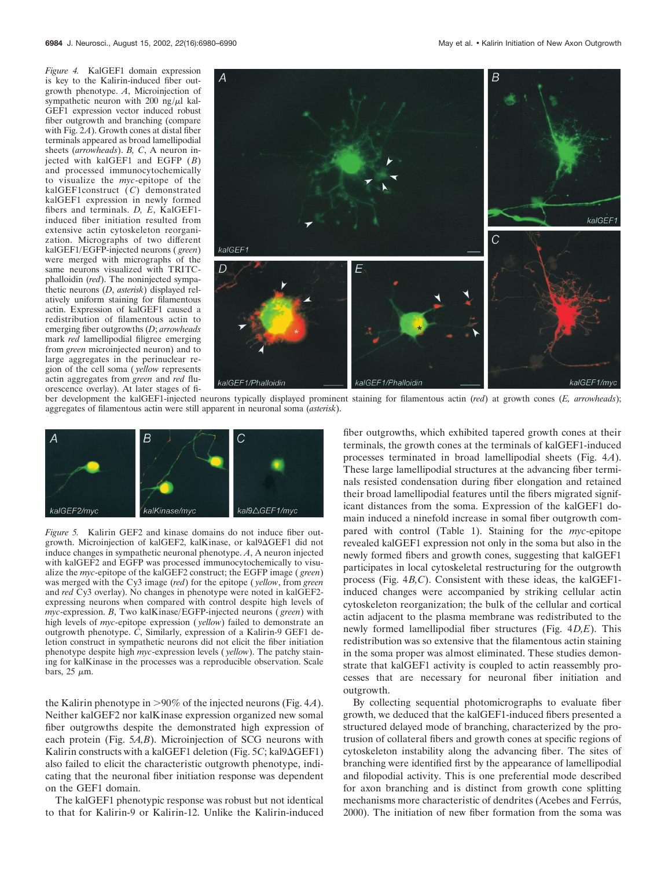*Figure 4.* KalGEF1 domain expression is key to the Kalirin-induced fiber outgrowth phenotype. *A*, Microinjection of sympathetic neuron with 200 ng/ $\mu$ l kal-GEF1 expression vector induced robust fiber outgrowth and branching (compare with Fig. 2*A*). Growth cones at distal fiber terminals appeared as broad lamellipodial sheets (*arrowheads*). *B, C*, A neuron injected with kalGEF1 and EGFP (*B*) and processed immunocytochemically to visualize the *myc*-epitope of the kalGEF1construct (C) demonstrated kalGEF1 expression in newly formed fibers and terminals. *D, E*, KalGEF1 induced fiber initiation resulted from extensive actin cytoskeleton reorganization. Micrographs of two different kalGEF1/EGFP-injected neurons ( *green*) were merged with micrographs of the same neurons visualized with TRITCphalloidin (*red*). The noninjected sympathetic neurons (*D*, *asterisk*) displayed relatively uniform staining for filamentous actin. Expression of kalGEF1 caused a redistribution of filamentous actin to emerging fiber outgrowths (*D*; *arrowheads* mark *red* lamellipodial filigree emerging from *green* microinjected neuron) and to large aggregates in the perinuclear region of the cell soma ( *yellow* represents actin aggregates from *green* and *red* fluorescence overlay). At later stages of fi-



ber development the kalGEF1-injected neurons typically displayed prominent staining for filamentous actin (*red*) at growth cones (*E, arrowheads*); aggregates of filamentous actin were still apparent in neuronal soma (*asterisk*).



*Figure 5.* Kalirin GEF2 and kinase domains do not induce fiber outgrowth. Microinjection of kalGEF2, kalKinase, or kal9 $\Delta$ GEF1 did not induce changes in sympathetic neuronal phenotype. *A*, A neuron injected with kalGEF2 and EGFP was processed immunocytochemically to visualize the *myc*-epitope of the kalGEF2 construct; the EGFP image ( *green*) was merged with the Cy3 image (*red*) for the epitope ( *yellow*, from *green* and *red* Cy3 overlay). No changes in phenotype were noted in kalGEF2 expressing neurons when compared with control despite high levels of *myc*-expression. *B*, Two kalKinase/EGFP-injected neurons ( *green*) with high levels of *myc*-epitope expression ( *yellow*) failed to demonstrate an outgrowth phenotype. *C*, Similarly, expression of a Kalirin-9 GEF1 deletion construct in sympathetic neurons did not elicit the fiber initiation phenotype despite high *myc*-expression levels ( *yellow*). The patchy staining for kalKinase in the processes was a reproducible observation. Scale bars, 25  $\mu$ m.

the Kalirin phenotype in 90% of the injected neurons (Fig. 4*A*). Neither kalGEF2 nor kalKinase expression organized new somal fiber outgrowths despite the demonstrated high expression of each protein (Fig. 5*A,B*). Microinjection of SCG neurons with Kalirin constructs with a kalGEF1 deletion (Fig. 5C; kal9 $\Delta$ GEF1) also failed to elicit the characteristic outgrowth phenotype, indicating that the neuronal fiber initiation response was dependent on the GEF1 domain.

The kalGEF1 phenotypic response was robust but not identical to that for Kalirin-9 or Kalirin-12. Unlike the Kalirin-induced fiber outgrowths, which exhibited tapered growth cones at their terminals, the growth cones at the terminals of kalGEF1-induced processes terminated in broad lamellipodial sheets (Fig. 4*A*). These large lamellipodial structures at the advancing fiber terminals resisted condensation during fiber elongation and retained their broad lamellipodial features until the fibers migrated significant distances from the soma. Expression of the kalGEF1 domain induced a ninefold increase in somal fiber outgrowth compared with control (Table 1). Staining for the *myc*-epitope revealed kalGEF1 expression not only in the soma but also in the newly formed fibers and growth cones, suggesting that kalGEF1 participates in local cytoskeletal restructuring for the outgrowth process (Fig. 4*B,C*). Consistent with these ideas, the kalGEF1 induced changes were accompanied by striking cellular actin cytoskeleton reorganization; the bulk of the cellular and cortical actin adjacent to the plasma membrane was redistributed to the newly formed lamellipodial fiber structures (Fig. 4*D,E*). This redistribution was so extensive that the filamentous actin staining in the soma proper was almost eliminated. These studies demonstrate that kalGEF1 activity is coupled to actin reassembly processes that are necessary for neuronal fiber initiation and outgrowth.

By collecting sequential photomicrographs to evaluate fiber growth, we deduced that the kalGEF1-induced fibers presented a structured delayed mode of branching, characterized by the protrusion of collateral fibers and growth cones at specific regions of cytoskeleton instability along the advancing fiber. The sites of branching were identified first by the appearance of lamellipodial and filopodial activity. This is one preferential mode described for axon branching and is distinct from growth cone splitting mechanisms more characteristic of dendrites (Acebes and Ferrús, 2000). The initiation of new fiber formation from the soma was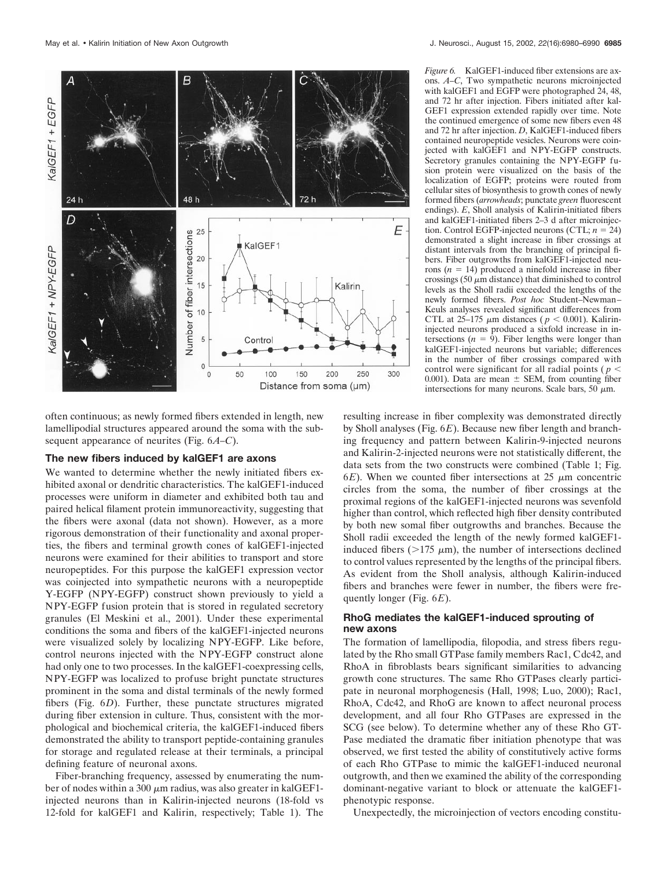

often continuous; as newly formed fibers extended in length, new lamellipodial structures appeared around the soma with the subsequent appearance of neurites (Fig. 6*A–C*).

## **The new fibers induced by kalGEF1 are axons**

We wanted to determine whether the newly initiated fibers exhibited axonal or dendritic characteristics. The kalGEF1-induced processes were uniform in diameter and exhibited both tau and paired helical filament protein immunoreactivity, suggesting that the fibers were axonal (data not shown). However, as a more rigorous demonstration of their functionality and axonal properties, the fibers and terminal growth cones of kalGEF1-injected neurons were examined for their abilities to transport and store neuropeptides. For this purpose the kalGEF1 expression vector was coinjected into sympathetic neurons with a neuropeptide Y-EGFP (NPY-EGFP) construct shown previously to yield a NPY-EGFP fusion protein that is stored in regulated secretory granules (El Meskini et al., 2001). Under these experimental conditions the soma and fibers of the kalGEF1-injected neurons were visualized solely by localizing NPY-EGFP. Like before, control neurons injected with the NPY-EGFP construct alone had only one to two processes. In the kalGEF1-coexpressing cells, NPY-EGFP was localized to profuse bright punctate structures prominent in the soma and distal terminals of the newly formed fibers (Fig. 6*D*). Further, these punctate structures migrated during fiber extension in culture. Thus, consistent with the morphological and biochemical criteria, the kalGEF1-induced fibers demonstrated the ability to transport peptide-containing granules for storage and regulated release at their terminals, a principal defining feature of neuronal axons.

Fiber-branching frequency, assessed by enumerating the number of nodes within a 300  $\mu$ m radius, was also greater in kalGEF1injected neurons than in Kalirin-injected neurons (18-fold vs 12-fold for kalGEF1 and Kalirin, respectively; Table 1). The

*Figure 6.* KalGEF1-induced fiber extensions are axons. *A–C*, Two sympathetic neurons microinjected with kalGEF1 and EGFP were photographed 24, 48, and 72 hr after injection. Fibers initiated after kal-GEF1 expression extended rapidly over time. Note the continued emergence of some new fibers even 48 and 72 hr after injection. *D*, KalGEF1-induced fibers contained neuropeptide vesicles. Neurons were coinjected with kalGEF1 and NPY-EGFP constructs. Secretory granules containing the NPY-EGFP fusion protein were visualized on the basis of the localization of EGFP; proteins were routed from cellular sites of biosynthesis to growth cones of newly formed fibers (*arrowheads*; punctate *green* fluorescent endings). *E*, Sholl analysis of Kalirin-initiated fibers and kalGEF1-initiated fibers 2–3 d after microinjection. Control EGFP-injected neurons (CTL;  $n = 24$ ) demonstrated a slight increase in fiber crossings at distant intervals from the branching of principal fibers. Fiber outgrowths from kalGEF1-injected neurons  $(n = 14)$  produced a ninefold increase in fiber crossings  $(50 \mu m)$  distance) that diminished to control levels as the Sholl radii exceeded the lengths of the newly formed fibers. *Post hoc* Student–Newman– Keuls analyses revealed significant differences from CTL at 25–175  $\mu$ m distances ( $p < 0.001$ ). Kalirininjected neurons produced a sixfold increase in intersections  $(n = 9)$ . Fiber lengths were longer than kalGEF1-injected neurons but variable; differences in the number of fiber crossings compared with control were significant for all radial points ( $p <$ 0.001). Data are mean  $\pm$  SEM, from counting fiber intersections for many neurons. Scale bars, 50  $\mu$ m.

resulting increase in fiber complexity was demonstrated directly by Sholl analyses (Fig. 6*E*). Because new fiber length and branching frequency and pattern between Kalirin-9-injected neurons and Kalirin-2-injected neurons were not statistically different, the data sets from the two constructs were combined (Table 1; Fig.  $6E$ ). When we counted fiber intersections at 25  $\mu$ m concentric circles from the soma, the number of fiber crossings at the proximal regions of the kalGEF1-injected neurons was sevenfold higher than control, which reflected high fiber density contributed by both new somal fiber outgrowths and branches. Because the Sholl radii exceeded the length of the newly formed kalGEF1 induced fibers ( $>175 \mu m$ ), the number of intersections declined to control values represented by the lengths of the principal fibers. As evident from the Sholl analysis, although Kalirin-induced fibers and branches were fewer in number, the fibers were frequently longer (Fig. 6*E*).

# **RhoG mediates the kalGEF1-induced sprouting of new axons**

The formation of lamellipodia, filopodia, and stress fibers regulated by the Rho small GTPase family members Rac1, Cdc42, and RhoA in fibroblasts bears significant similarities to advancing growth cone structures. The same Rho GTPases clearly participate in neuronal morphogenesis (Hall, 1998; Luo, 2000); Rac1, RhoA, Cdc42, and RhoG are known to affect neuronal process development, and all four Rho GTPases are expressed in the SCG (see below). To determine whether any of these Rho GT-Pase mediated the dramatic fiber initiation phenotype that was observed, we first tested the ability of constitutively active forms of each Rho GTPase to mimic the kalGEF1-induced neuronal outgrowth, and then we examined the ability of the corresponding dominant-negative variant to block or attenuate the kalGEF1 phenotypic response.

Unexpectedly, the microinjection of vectors encoding constitu-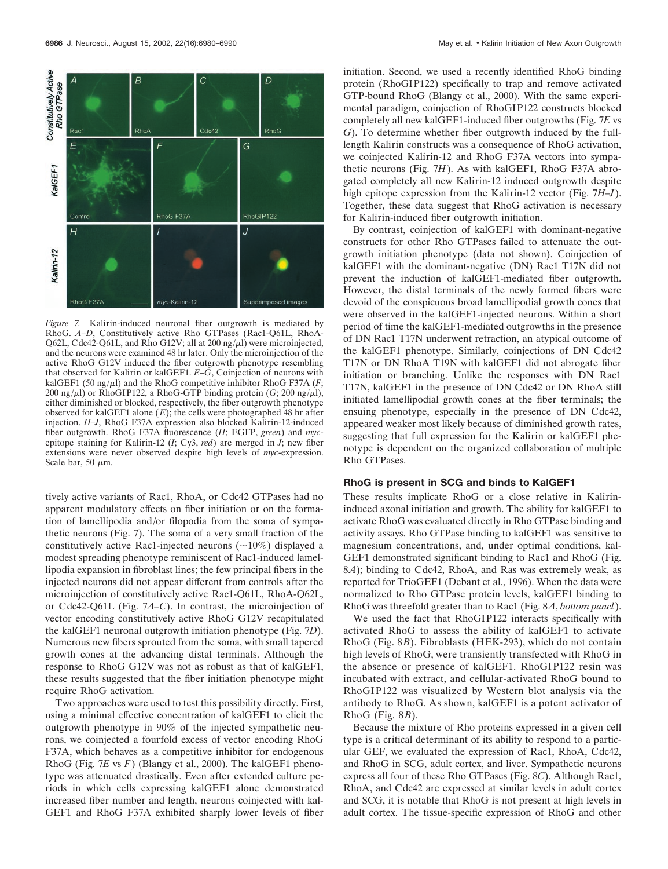

*Figure 7.* Kalirin-induced neuronal fiber outgrowth is mediated by RhoG. *A–D*, Constitutively active Rho GTPases (Rac1-Q61L, RhoA-Q62L, Cdc42-Q61L, and Rho G12V; all at  $200 \text{ ng}/\mu$ l) were microinjected, and the neurons were examined 48 hr later. Only the microinjection of the active RhoG G12V induced the fiber outgrowth phenotype resembling that observed for Kalirin or kalGEF1. *E–G*, Coinjection of neurons with kalGEF1 (50 ng/ $\mu$ l) and the RhoG competitive inhibitor RhoG F37A ( $F$ ; 200 ng/ $\mu$ l) or RhoGIP122, a RhoG-GTP binding protein (*G*; 200 ng/ $\mu$ l), either diminished or blocked, respectively, the fiber outgrowth phenotype observed for kalGEF1 alone (*E*); the cells were photographed 48 hr after injection. *H–J*, RhoG F37A expression also blocked Kalirin-12-induced fiber outgrowth. RhoG F37A fluorescence (*H*; EGFP, *green*) and *myc*epitope staining for Kalirin-12 (*I*; Cy3, *red*) are merged in *J*; new fiber extensions were never observed despite high levels of *myc*-expression. Scale bar, 50  $\mu$ m.

tively active variants of Rac1, RhoA, or Cdc42 GTPases had no apparent modulatory effects on fiber initiation or on the formation of lamellipodia and/or filopodia from the soma of sympathetic neurons (Fig. 7). The soma of a very small fraction of the constitutively active Rac1-injected neurons  $(\sim 10\%)$  displayed a modest spreading phenotype reminiscent of Rac1-induced lamellipodia expansion in fibroblast lines; the few principal fibers in the injected neurons did not appear different from controls after the microinjection of constitutively active Rac1-Q61L, RhoA-Q62L, or Cdc42-Q61L (Fig. 7*A–C*). In contrast, the microinjection of vector encoding constitutively active RhoG G12V recapitulated the kalGEF1 neuronal outgrowth initiation phenotype (Fig. 7*D*). Numerous new fibers sprouted from the soma, with small tapered growth cones at the advancing distal terminals. Although the response to RhoG G12V was not as robust as that of kalGEF1, these results suggested that the fiber initiation phenotype might require RhoG activation.

Two approaches were used to test this possibility directly. First, using a minimal effective concentration of kalGEF1 to elicit the outgrowth phenotype in 90% of the injected sympathetic neurons, we coinjected a fourfold excess of vector encoding RhoG F37A, which behaves as a competitive inhibitor for endogenous RhoG (Fig. 7*E* vs *F*) (Blangy et al., 2000). The kalGEF1 phenotype was attenuated drastically. Even after extended culture periods in which cells expressing kalGEF1 alone demonstrated increased fiber number and length, neurons coinjected with kal-GEF1 and RhoG F37A exhibited sharply lower levels of fiber

initiation. Second, we used a recently identified RhoG binding protein (RhoGIP122) specifically to trap and remove activated GTP-bound RhoG (Blangy et al., 2000). With the same experimental paradigm, coinjection of RhoGIP122 constructs blocked completely all new kalGEF1-induced fiber outgrowths (Fig. 7*E* vs *G*). To determine whether fiber outgrowth induced by the fulllength Kalirin constructs was a consequence of RhoG activation, we coinjected Kalirin-12 and RhoG F37A vectors into sympathetic neurons (Fig. 7*H*). As with kalGEF1, RhoG F37A abrogated completely all new Kalirin-12 induced outgrowth despite high epitope expression from the Kalirin-12 vector (Fig. 7*H–J*). Together, these data suggest that RhoG activation is necessary for Kalirin-induced fiber outgrowth initiation.

By contrast, coinjection of kalGEF1 with dominant-negative constructs for other Rho GTPases failed to attenuate the outgrowth initiation phenotype (data not shown). Coinjection of kalGEF1 with the dominant-negative (DN) Rac1 T17N did not prevent the induction of kalGEF1-mediated fiber outgrowth. However, the distal terminals of the newly formed fibers were devoid of the conspicuous broad lamellipodial growth cones that were observed in the kalGEF1-injected neurons. Within a short period of time the kalGEF1-mediated outgrowths in the presence of DN Rac1 T17N underwent retraction, an atypical outcome of the kalGEF1 phenotype. Similarly, coinjections of DN Cdc42 T17N or DN RhoA T19N with kalGEF1 did not abrogate fiber initiation or branching. Unlike the responses with DN Rac1 T17N, kalGEF1 in the presence of DN Cdc42 or DN RhoA still initiated lamellipodial growth cones at the fiber terminals; the ensuing phenotype, especially in the presence of DN Cdc42, appeared weaker most likely because of diminished growth rates, suggesting that full expression for the Kalirin or kalGEF1 phenotype is dependent on the organized collaboration of multiple Rho GTPases.

#### **RhoG is present in SCG and binds to KalGEF1**

These results implicate RhoG or a close relative in Kalirininduced axonal initiation and growth. The ability for kalGEF1 to activate RhoG was evaluated directly in Rho GTPase binding and activity assays. Rho GTPase binding to kalGEF1 was sensitive to magnesium concentrations, and, under optimal conditions, kal-GEF1 demonstrated significant binding to Rac1 and RhoG (Fig. 8*A*); binding to Cdc42, RhoA, and Ras was extremely weak, as reported for TrioGEF1 (Debant et al., 1996). When the data were normalized to Rho GTPase protein levels, kalGEF1 binding to RhoG was threefold greater than to Rac1 (Fig. 8*A*, *bottom panel*).

We used the fact that RhoGIP122 interacts specifically with activated RhoG to assess the ability of kalGEF1 to activate RhoG (Fig. 8*B*). Fibroblasts (HEK-293), which do not contain high levels of RhoG, were transiently transfected with RhoG in the absence or presence of kalGEF1. RhoGIP122 resin was incubated with extract, and cellular-activated RhoG bound to RhoGIP122 was visualized by Western blot analysis via the antibody to RhoG. As shown, kalGEF1 is a potent activator of RhoG (Fig. 8*B*).

Because the mixture of Rho proteins expressed in a given cell type is a critical determinant of its ability to respond to a particular GEF, we evaluated the expression of Rac1, RhoA, Cdc42, and RhoG in SCG, adult cortex, and liver. Sympathetic neurons express all four of these Rho GTPases (Fig. 8*C*). Although Rac1, RhoA, and Cdc42 are expressed at similar levels in adult cortex and SCG, it is notable that RhoG is not present at high levels in adult cortex. The tissue-specific expression of RhoG and other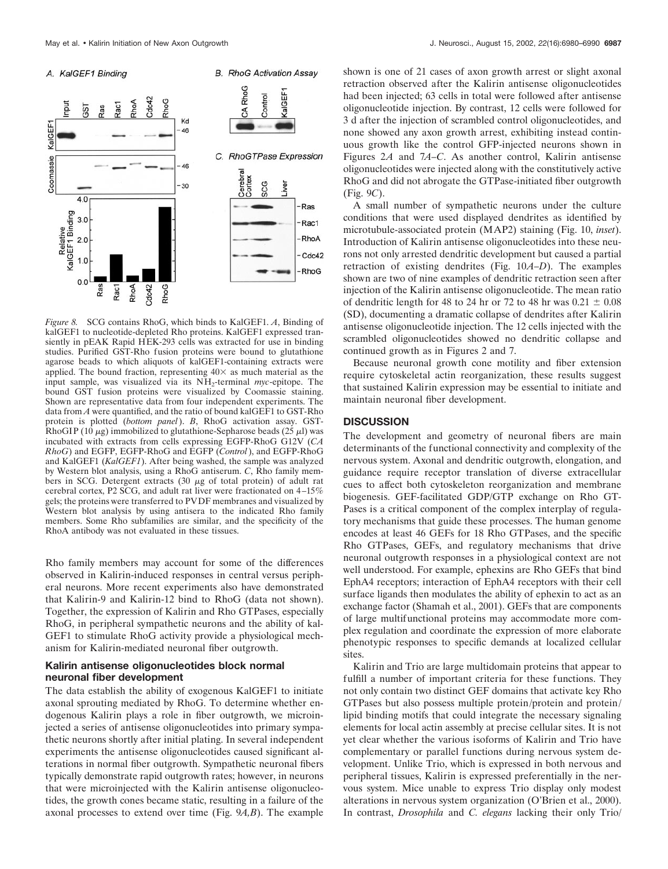



**B.** RhoG Activation Assav

*Figure 8.* SCG contains RhoG, which binds to KalGEF1. *A*, Binding of kalGEF1 to nucleotide-depleted Rho proteins. KalGEF1 expressed transiently in pEAK Rapid HEK-293 cells was extracted for use in binding studies. Purified GST-Rho fusion proteins were bound to glutathione agarose beads to which aliquots of kalGEF1-containing extracts were applied. The bound fraction, representing  $40\times$  as much material as the input sample, was visualized via its NH2-terminal *myc*-epitope. The bound GST fusion proteins were visualized by Coomassie staining. Shown are representative data from four independent experiments. The data from *A* were quantified, and the ratio of bound kalGEF1 to GST-Rho protein is plotted (*bottom panel*). *B*, RhoG activation assay. GST-RhoGIP (10  $\mu$ g) immobilized to glutathione-Sepharose beads (25  $\mu$ l) was incubated with extracts from cells expressing EGFP-RhoG G12V (*CA RhoG*) and EGFP, EGFP-RhoG and EGFP (*Control*), and EGFP-RhoG and KalGEF1 (*KalGEF1*). After being washed, the sample was analyzed by Western blot analysis, using a RhoG antiserum. *C*, Rho family members in SCG. Detergent extracts  $(30 \mu g)$  of total protein) of adult rat cerebral cortex, P2 SCG, and adult rat liver were fractionated on 4–15% gels; the proteins were transferred to PVDF membranes and visualized by Western blot analysis by using antisera to the indicated Rho family members. Some Rho subfamilies are similar, and the specificity of the RhoA antibody was not evaluated in these tissues.

Rho family members may account for some of the differences observed in Kalirin-induced responses in central versus peripheral neurons. More recent experiments also have demonstrated that Kalirin-9 and Kalirin-12 bind to RhoG (data not shown). Together, the expression of Kalirin and Rho GTPases, especially RhoG, in peripheral sympathetic neurons and the ability of kal-GEF1 to stimulate RhoG activity provide a physiological mechanism for Kalirin-mediated neuronal fiber outgrowth.

# **Kalirin antisense oligonucleotides block normal neuronal fiber development**

The data establish the ability of exogenous KalGEF1 to initiate axonal sprouting mediated by RhoG. To determine whether endogenous Kalirin plays a role in fiber outgrowth, we microinjected a series of antisense oligonucleotides into primary sympathetic neurons shortly after initial plating. In several independent experiments the antisense oligonucleotides caused significant alterations in normal fiber outgrowth. Sympathetic neuronal fibers typically demonstrate rapid outgrowth rates; however, in neurons that were microinjected with the Kalirin antisense oligonucleotides, the growth cones became static, resulting in a failure of the axonal processes to extend over time (Fig. 9*A,B*). The example

shown is one of 21 cases of axon growth arrest or slight axonal retraction observed after the Kalirin antisense oligonucleotides had been injected; 63 cells in total were followed after antisense oligonucleotide injection. By contrast, 12 cells were followed for 3 d after the injection of scrambled control oligonucleotides, and none showed any axon growth arrest, exhibiting instead continuous growth like the control GFP-injected neurons shown in Figures 2*A* and 7*A–C*. As another control, Kalirin antisense oligonucleotides were injected along with the constitutively active RhoG and did not abrogate the GTPase-initiated fiber outgrowth (Fig. 9*C*).

A small number of sympathetic neurons under the culture conditions that were used displayed dendrites as identified by microtubule-associated protein (MAP2) staining (Fig. 10, *inset*). Introduction of Kalirin antisense oligonucleotides into these neurons not only arrested dendritic development but caused a partial retraction of existing dendrites (Fig. 10*A–D*). The examples shown are two of nine examples of dendritic retraction seen after injection of the Kalirin antisense oligonucleotide. The mean ratio of dendritic length for 48 to 24 hr or 72 to 48 hr was  $0.21 \pm 0.08$ (SD), documenting a dramatic collapse of dendrites after Kalirin antisense oligonucleotide injection. The 12 cells injected with the scrambled oligonucleotides showed no dendritic collapse and continued growth as in Figures 2 and 7.

Because neuronal growth cone motility and fiber extension require cytoskeletal actin reorganization, these results suggest that sustained Kalirin expression may be essential to initiate and maintain neuronal fiber development.

## **DISCUSSION**

The development and geometry of neuronal fibers are main determinants of the functional connectivity and complexity of the nervous system. Axonal and dendritic outgrowth, elongation, and guidance require receptor translation of diverse extracellular cues to affect both cytoskeleton reorganization and membrane biogenesis. GEF-facilitated GDP/GTP exchange on Rho GT-Pases is a critical component of the complex interplay of regulatory mechanisms that guide these processes. The human genome encodes at least 46 GEFs for 18 Rho GTPases, and the specific Rho GTPases, GEFs, and regulatory mechanisms that drive neuronal outgrowth responses in a physiological context are not well understood. For example, ephexins are Rho GEFs that bind EphA4 receptors; interaction of EphA4 receptors with their cell surface ligands then modulates the ability of ephexin to act as an exchange factor (Shamah et al., 2001). GEFs that are components of large multifunctional proteins may accommodate more complex regulation and coordinate the expression of more elaborate phenotypic responses to specific demands at localized cellular sites.

Kalirin and Trio are large multidomain proteins that appear to fulfill a number of important criteria for these functions. They not only contain two distinct GEF domains that activate key Rho GTPases but also possess multiple protein/protein and protein/ lipid binding motifs that could integrate the necessary signaling elements for local actin assembly at precise cellular sites. It is not yet clear whether the various isoforms of Kalirin and Trio have complementary or parallel functions during nervous system development. Unlike Trio, which is expressed in both nervous and peripheral tissues, Kalirin is expressed preferentially in the nervous system. Mice unable to express Trio display only modest alterations in nervous system organization (O'Brien et al., 2000). In contrast, *Drosophila* and *C. elegans* lacking their only Trio/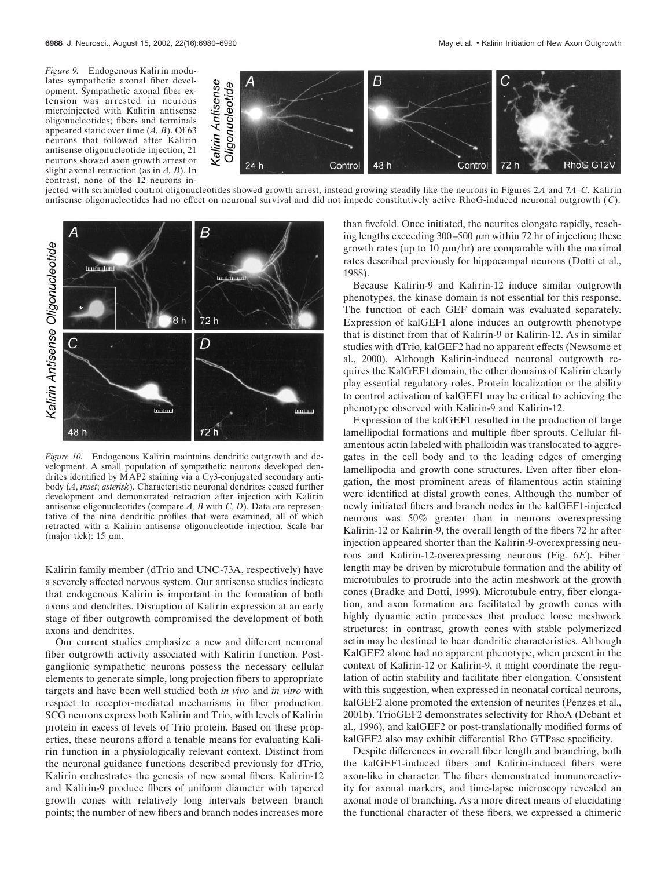*Figure 9.* Endogenous Kalirin modulates sympathetic axonal fiber development. Sympathetic axonal fiber extension was arrested in neurons microinjected with Kalirin antisense oligonucleotides; fibers and terminals appeared static over time (*A, B*). Of 63 neurons that followed after Kalirin antisense oligonucleotide injection, 21 neurons showed axon growth arrest or slight axonal retraction (as in *A, B*). In contrast, none of the 12 neurons in-



jected with scrambled control oligonucleotides showed growth arrest, instead growing steadily like the neurons in Figures 2*A* and 7*A–C*. Kalirin antisense oligonucleotides had no effect on neuronal survival and did not impede constitutively active RhoG-induced neuronal outgrowth ( *C*).



*Figure 10.* Endogenous Kalirin maintains dendritic outgrowth and development. A small population of sympathetic neurons developed dendrites identified by MAP2 staining via a Cy3-conjugated secondary antibody (*A*, *inset*; *asterisk*). Characteristic neuronal dendrites ceased further development and demonstrated retraction after injection with Kalirin antisense oligonucleotides (compare *A, B* with *C, D*). Data are representative of the nine dendritic profiles that were examined, all of which retracted with a Kalirin antisense oligonucleotide injection. Scale bar (major tick): 15  $\mu$ m.

Kalirin family member (dTrio and UNC-73A, respectively) have a severely affected nervous system. Our antisense studies indicate that endogenous Kalirin is important in the formation of both axons and dendrites. Disruption of Kalirin expression at an early stage of fiber outgrowth compromised the development of both axons and dendrites.

Our current studies emphasize a new and different neuronal fiber outgrowth activity associated with Kalirin function. Postganglionic sympathetic neurons possess the necessary cellular elements to generate simple, long projection fibers to appropriate targets and have been well studied both *in vivo* and *in vitro* with respect to receptor-mediated mechanisms in fiber production. SCG neurons express both Kalirin and Trio, with levels of Kalirin protein in excess of levels of Trio protein. Based on these properties, these neurons afford a tenable means for evaluating Kalirin function in a physiologically relevant context. Distinct from the neuronal guidance functions described previously for dTrio, Kalirin orchestrates the genesis of new somal fibers. Kalirin-12 and Kalirin-9 produce fibers of uniform diameter with tapered growth cones with relatively long intervals between branch points; the number of new fibers and branch nodes increases more

than fivefold. Once initiated, the neurites elongate rapidly, reaching lengths exceeding  $300 - 500 \mu m$  within 72 hr of injection; these growth rates (up to 10  $\mu$ m/hr) are comparable with the maximal rates described previously for hippocampal neurons (Dotti et al., 1988).

Because Kalirin-9 and Kalirin-12 induce similar outgrowth phenotypes, the kinase domain is not essential for this response. The function of each GEF domain was evaluated separately. Expression of kalGEF1 alone induces an outgrowth phenotype that is distinct from that of Kalirin-9 or Kalirin-12. As in similar studies with dTrio, kalGEF2 had no apparent effects (Newsome et al., 2000). Although Kalirin-induced neuronal outgrowth requires the KalGEF1 domain, the other domains of Kalirin clearly play essential regulatory roles. Protein localization or the ability to control activation of kalGEF1 may be critical to achieving the phenotype observed with Kalirin-9 and Kalirin-12.

Expression of the kalGEF1 resulted in the production of large lamellipodial formations and multiple fiber sprouts. Cellular filamentous actin labeled with phalloidin was translocated to aggregates in the cell body and to the leading edges of emerging lamellipodia and growth cone structures. Even after fiber elongation, the most prominent areas of filamentous actin staining were identified at distal growth cones. Although the number of newly initiated fibers and branch nodes in the kalGEF1-injected neurons was 50% greater than in neurons overexpressing Kalirin-12 or Kalirin-9, the overall length of the fibers 72 hr after injection appeared shorter than the Kalirin-9-overexpressing neurons and Kalirin-12-overexpressing neurons (Fig. 6*E*). Fiber length may be driven by microtubule formation and the ability of microtubules to protrude into the actin meshwork at the growth cones (Bradke and Dotti, 1999). Microtubule entry, fiber elongation, and axon formation are facilitated by growth cones with highly dynamic actin processes that produce loose meshwork structures; in contrast, growth cones with stable polymerized actin may be destined to bear dendritic characteristics. Although KalGEF2 alone had no apparent phenotype, when present in the context of Kalirin-12 or Kalirin-9, it might coordinate the regulation of actin stability and facilitate fiber elongation. Consistent with this suggestion, when expressed in neonatal cortical neurons, kalGEF2 alone promoted the extension of neurites (Penzes et al., 2001b). TrioGEF2 demonstrates selectivity for RhoA (Debant et al., 1996), and kalGEF2 or post-translationally modified forms of kalGEF2 also may exhibit differential Rho GTPase specificity.

Despite differences in overall fiber length and branching, both the kalGEF1-induced fibers and Kalirin-induced fibers were axon-like in character. The fibers demonstrated immunoreactivity for axonal markers, and time-lapse microscopy revealed an axonal mode of branching. As a more direct means of elucidating the functional character of these fibers, we expressed a chimeric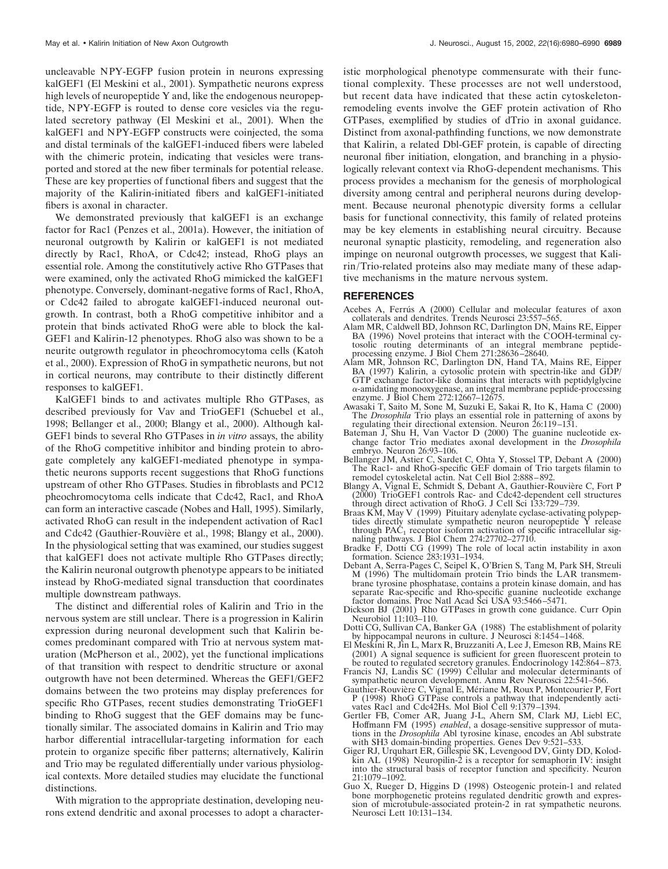uncleavable NPY-EGFP fusion protein in neurons expressing kalGEF1 (El Meskini et al., 2001). Sympathetic neurons express high levels of neuropeptide Y and, like the endogenous neuropeptide, NPY-EGFP is routed to dense core vesicles via the regulated secretory pathway (El Meskini et al., 2001). When the kalGEF1 and NPY-EGFP constructs were coinjected, the soma and distal terminals of the kalGEF1-induced fibers were labeled with the chimeric protein, indicating that vesicles were transported and stored at the new fiber terminals for potential release. These are key properties of functional fibers and suggest that the majority of the Kalirin-initiated fibers and kalGEF1-initiated fibers is axonal in character.

We demonstrated previously that kalGEF1 is an exchange factor for Rac1 (Penzes et al., 2001a). However, the initiation of neuronal outgrowth by Kalirin or kalGEF1 is not mediated directly by Rac1, RhoA, or Cdc42; instead, RhoG plays an essential role. Among the constitutively active Rho GTPases that were examined, only the activated RhoG mimicked the kalGEF1 phenotype. Conversely, dominant-negative forms of Rac1, RhoA, or Cdc42 failed to abrogate kalGEF1-induced neuronal outgrowth. In contrast, both a RhoG competitive inhibitor and a protein that binds activated RhoG were able to block the kal-GEF1 and Kalirin-12 phenotypes. RhoG also was shown to be a neurite outgrowth regulator in pheochromocytoma cells (Katoh et al., 2000). Expression of RhoG in sympathetic neurons, but not in cortical neurons, may contribute to their distinctly different responses to kalGEF1.

KalGEF1 binds to and activates multiple Rho GTPases, as described previously for Vav and TrioGEF1 (Schuebel et al., 1998; Bellanger et al., 2000; Blangy et al., 2000). Although kal-GEF1 binds to several Rho GTPases in *in vitro* assays, the ability of the RhoG competitive inhibitor and binding protein to abrogate completely any kalGEF1-mediated phenotype in sympathetic neurons supports recent suggestions that RhoG functions upstream of other Rho GTPases. Studies in fibroblasts and PC12 pheochromocytoma cells indicate that Cdc42, Rac1, and RhoA can form an interactive cascade (Nobes and Hall, 1995). Similarly, activated RhoG can result in the independent activation of Rac1 and Cdc42 (Gauthier-Rouvière et al., 1998; Blangy et al., 2000). In the physiological setting that was examined, our studies suggest that kalGEF1 does not activate multiple Rho GTPases directly; the Kalirin neuronal outgrowth phenotype appears to be initiated instead by RhoG-mediated signal transduction that coordinates multiple downstream pathways.

The distinct and differential roles of Kalirin and Trio in the nervous system are still unclear. There is a progression in Kalirin expression during neuronal development such that Kalirin becomes predominant compared with Trio at nervous system maturation (McPherson et al., 2002), yet the functional implications of that transition with respect to dendritic structure or axonal outgrowth have not been determined. Whereas the GEF1/GEF2 domains between the two proteins may display preferences for specific Rho GTPases, recent studies demonstrating TrioGEF1 binding to RhoG suggest that the GEF domains may be functionally similar. The associated domains in Kalirin and Trio may harbor differential intracellular-targeting information for each protein to organize specific fiber patterns; alternatively, Kalirin and Trio may be regulated differentially under various physiological contexts. More detailed studies may elucidate the functional distinctions.

With migration to the appropriate destination, developing neurons extend dendritic and axonal processes to adopt a characteristic morphological phenotype commensurate with their functional complexity. These processes are not well understood, but recent data have indicated that these actin cytoskeletonremodeling events involve the GEF protein activation of Rho GTPases, exemplified by studies of dTrio in axonal guidance. Distinct from axonal-pathfinding functions, we now demonstrate that Kalirin, a related Dbl-GEF protein, is capable of directing neuronal fiber initiation, elongation, and branching in a physiologically relevant context via RhoG-dependent mechanisms. This process provides a mechanism for the genesis of morphological diversity among central and peripheral neurons during development. Because neuronal phenotypic diversity forms a cellular basis for functional connectivity, this family of related proteins may be key elements in establishing neural circuitry. Because neuronal synaptic plasticity, remodeling, and regeneration also impinge on neuronal outgrowth processes, we suggest that Kalirin/Trio-related proteins also may mediate many of these adaptive mechanisms in the mature nervous system.

#### **REFERENCES**

- Acebes A, Ferrús A (2000) Cellular and molecular features of axon collaterals and dendrites. Trends Neurosci 23:557–565.
- Alam MR, Caldwell BD, Johnson RC, Darlington DN, Mains RE, Eipper BA (1996) Novel proteins that interact with the COOH-terminal cytosolic routing determinants of an integral membrane peptideprocessing enzyme. J Biol Chem 271:28636–28640.
- Alam MR, Johnson RC, Darlington DN, Hand TA, Mains RE, Eipper BA (1997) Kalirin, a cytosolic protein with spectrin-like and GDP/ GTP exchange factor-like domains that interacts with peptidylglycine -amidating monooxygenase, an integral membrane peptide-processing enzyme. J Biol Chem 272:12667–12675.
- Awasaki T, Saito M, Sone M, Suzuki E, Sakai R, Ito K, Hama C (2000) The *Drosophila* Trio plays an essential role in patterning of axons by regulating their directional extension. Neuron 26:119–131.
- Bateman J, Shu H, Van Vactor D (2000) The guanine nucleotide exchange factor Trio mediates axonal development in the *Drosophila* embryo. Neuron 26:93–106.
- Bellanger JM, Astier C, Sardet C, Ohta Y, Stossel TP, Debant A (2000) The Rac1- and RhoG-specific GEF domain of Trio targets filamin to remodel cytoskeletal actin. Nat Cell Biol 2:888–892.
- Blangy A, Vignal E, Schmidt S, Debant A, Gauthier-Rouvière C, Fort P (2000) TrioGEF1 controls Rac- and Cdc42-dependent cell structures through direct activation of RhoG. J Cell Sci 133:729–739.
- Braas KM, May V (1999) Pituitary adenylate cyclase-activating polypeptides directly stimulate sympathetic neuron neuropeptide Y release<br>through PAC<sub>1</sub> receptor isoform activation of specific intracellular signaling pathways. J Biol Chem 274:27702–27710.
- Bradke F, Dotti CG (1999) The role of local actin instability in axon formation. Science 283:1931–1934.
- Debant A, Serra-Pages C, Seipel K, O'Brien S, Tang M, Park SH, Streuli M (1996) The multidomain protein Trio binds the LAR transmembrane tyrosine phosphatase, contains a protein kinase domain, and has separate Rac-specific and Rho-specific guanine nucleotide exchange factor domains. Proc Natl Acad Sci USA 93:5466–5471.
- Dickson BJ (2001) Rho GTPases in growth cone guidance. Curr Opin Neurobiol 11:103–110.
- Dotti CG, Sullivan CA, Banker GA (1988) The establishment of polarity by hippocampal neurons in culture. J Neurosci 8:1454–1468.
- El Meskini R, Jin L, Marx R, Bruzzaniti A, Lee J, Emeson RB, Mains RE (2001) A signal sequence is sufficient for green fluorescent protein to be routed to regulated secretory granules. Endocrinology 142:864–873.
- Francis NJ, Landis SC (1999) Cellular and molecular determinants of sympathetic neuron development. Annu Rev Neurosci 22:541–566.
- Gauthier-Rouvière C, Vignal E, Mériane M, Roux P, Montcourier P, Fort P (1998) RhoG GTPase controls a pathway that independently activates Rac1 and Cdc42Hs. Mol Biol Cell 9:1379–1394.
- Gertler FB, Comer AR, Juang J-L, Ahern SM, Clark MJ, Liebl EC, Hoffmann FM (1995) *enabled*, a dosage-sensitive suppressor of muta-tions in the *Drosophila* Abl tyrosine kinase, encodes an Abl substrate with SH3 domain-binding properties. Genes Dev 9:521–533.
- Giger RJ, Urquhart ER, Gillespie SK, Levengood DV, Ginty DD, Kolodkin AL (1998) Neuropilin-2 is a receptor for semaphorin IV: insight into the structural basis of receptor function and specificity. Neuron 21:1079–1092.
- Guo X, Rueger D, Higgins D (1998) Osteogenic protein-1 and related bone morphogenetic proteins regulated dendritic growth and expression of microtubule-associated protein-2 in rat sympathetic neurons. Neurosci Lett 10:131–134.